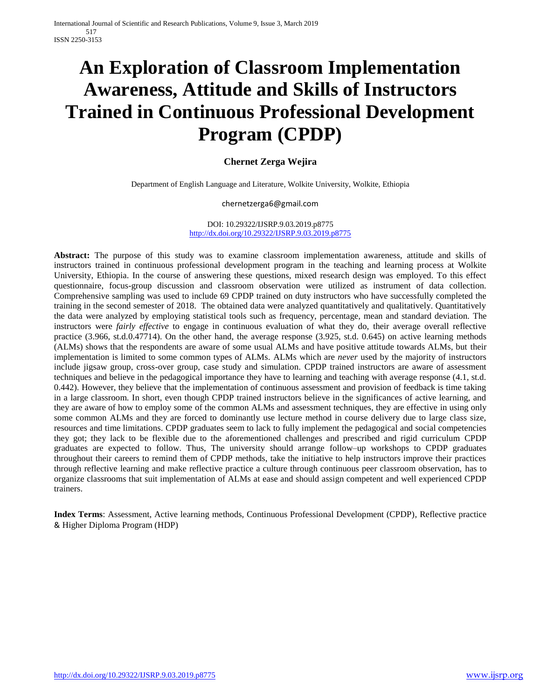# **An Exploration of Classroom Implementation Awareness, Attitude and Skills of Instructors Trained in Continuous Professional Development Program (CPDP)**

# **Chernet Zerga Wejira**

Department of English Language and Literature, Wolkite University, Wolkite, Ethiopia

#### chernetzerga6@gmail.com

#### DOI: 10.29322/IJSRP.9.03.2019.p8775 <http://dx.doi.org/10.29322/IJSRP.9.03.2019.p8775>

**Abstract:** The purpose of this study was to examine classroom implementation awareness, attitude and skills of instructors trained in continuous professional development program in the teaching and learning process at Wolkite University, Ethiopia. In the course of answering these questions, mixed research design was employed. To this effect questionnaire, focus-group discussion and classroom observation were utilized as instrument of data collection. Comprehensive sampling was used to include 69 CPDP trained on duty instructors who have successfully completed the training in the second semester of 2018. The obtained data were analyzed quantitatively and qualitatively. Quantitatively the data were analyzed by employing statistical tools such as frequency, percentage, mean and standard deviation. The instructors were *fairly effective* to engage in continuous evaluation of what they do, their average overall reflective practice (3.966, st.d.0.47714). On the other hand, the average response (3.925, st.d. 0.645) on active learning methods (ALMs) shows that the respondents are aware of some usual ALMs and have positive attitude towards ALMs, but their implementation is limited to some common types of ALMs. ALMs which are *never* used by the majority of instructors include jigsaw group, cross-over group, case study and simulation. CPDP trained instructors are aware of assessment techniques and believe in the pedagogical importance they have to learning and teaching with average response (4.1, st.d. 0.442). However, they believe that the implementation of continuous assessment and provision of feedback is time taking in a large classroom. In short, even though CPDP trained instructors believe in the significances of active learning, and they are aware of how to employ some of the common ALMs and assessment techniques, they are effective in using only some common ALMs and they are forced to dominantly use lecture method in course delivery due to large class size, resources and time limitations. CPDP graduates seem to lack to fully implement the pedagogical and social competencies they got; they lack to be flexible due to the aforementioned challenges and prescribed and rigid curriculum CPDP graduates are expected to follow. Thus, The university should arrange follow–up workshops to CPDP graduates throughout their careers to remind them of CPDP methods, take the initiative to help instructors improve their practices through reflective learning and make reflective practice a culture through continuous peer classroom observation, has to organize classrooms that suit implementation of ALMs at ease and should assign competent and well experienced CPDP trainers.

**Index Terms**: Assessment, Active learning methods, Continuous Professional Development (CPDP), Reflective practice & Higher Diploma Program (HDP)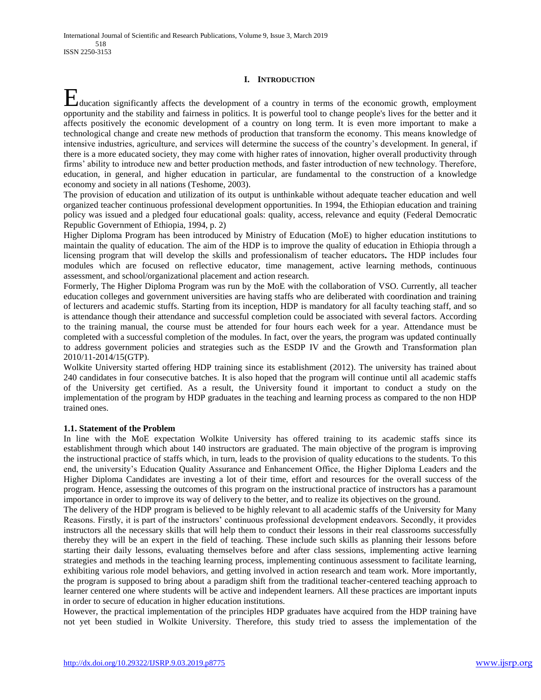## **I. INTRODUCTION**

ducation significantly affects the development of a country in terms of the economic growth, employment H<br>ducation significantly affects the development of a country in terms of the economic growth, employment<br>opportunity and the stability and fairness in politics. It is powerful tool to change people's lives for the better affects positively the economic development of a country on long term. It is even more important to make a technological change and create new methods of production that transform the economy. This means knowledge of intensive industries, agriculture, and services will determine the success of the country"s development. In general, if there is a more educated society, they may come with higher rates of innovation, higher overall productivity through firms" ability to introduce new and better production methods, and faster introduction of new technology. Therefore, education, in general, and higher education in particular, are fundamental to the construction of a knowledge economy and society in all nations (Teshome, 2003).

The provision of education and utilization of its output is unthinkable without adequate teacher education and well organized teacher continuous professional development opportunities. In 1994, the Ethiopian education and training policy was issued and a pledged four educational goals: quality, access, relevance and equity (Federal Democratic Republic Government of Ethiopia, 1994, p. 2)

Higher Diploma Program has been introduced by Ministry of Education (MoE) to higher education institutions to maintain the quality of education. The aim of the HDP is to improve the quality of education in Ethiopia through a licensing program that will develop the skills and professionalism of teacher educators**.** The HDP includes four modules which are focused on reflective educator, time management, active learning methods, continuous assessment, and school/organizational placement and action research.

Formerly, The Higher Diploma Program was run by the MoE with the collaboration of VSO. Currently, all teacher education colleges and government universities are having staffs who are deliberated with coordination and training of lecturers and academic stuffs. Starting from its inception, HDP is mandatory for all faculty teaching staff, and so is attendance though their attendance and successful completion could be associated with several factors. According to the training manual, the course must be attended for four hours each week for a year. Attendance must be completed with a successful completion of the modules. In fact, over the years, the program was updated continually to address government policies and strategies such as the ESDP IV and the Growth and Transformation plan 2010/11-2014/15(GTP).

Wolkite University started offering HDP training since its establishment (2012). The university has trained about 240 candidates in four consecutive batches. It is also hoped that the program will continue until all academic staffs of the University get certified. As a result, the University found it important to conduct a study on the implementation of the program by HDP graduates in the teaching and learning process as compared to the non HDP trained ones.

#### **1.1. Statement of the Problem**

In line with the MoE expectation Wolkite University has offered training to its academic staffs since its establishment through which about 140 instructors are graduated. The main objective of the program is improving the instructional practice of staffs which, in turn, leads to the provision of quality educations to the students. To this end, the university"s Education Quality Assurance and Enhancement Office, the Higher Diploma Leaders and the Higher Diploma Candidates are investing a lot of their time, effort and resources for the overall success of the program. Hence, assessing the outcomes of this program on the instructional practice of instructors has a paramount importance in order to improve its way of delivery to the better, and to realize its objectives on the ground.

The delivery of the HDP program is believed to be highly relevant to all academic staffs of the University for Many Reasons. Firstly, it is part of the instructors" continuous professional development endeavors. Secondly, it provides instructors all the necessary skills that will help them to conduct their lessons in their real classrooms successfully thereby they will be an expert in the field of teaching. These include such skills as planning their lessons before starting their daily lessons, evaluating themselves before and after class sessions, implementing active learning strategies and methods in the teaching learning process, implementing continuous assessment to facilitate learning, exhibiting various role model behaviors, and getting involved in action research and team work. More importantly, the program is supposed to bring about a paradigm shift from the traditional teacher-centered teaching approach to learner centered one where students will be active and independent learners. All these practices are important inputs in order to secure of education in higher education institutions.

However, the practical implementation of the principles HDP graduates have acquired from the HDP training have not yet been studied in Wolkite University. Therefore, this study tried to assess the implementation of the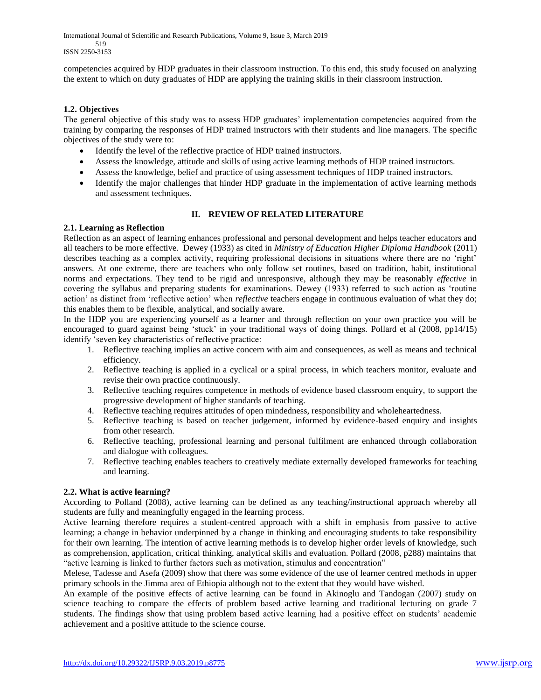International Journal of Scientific and Research Publications, Volume 9, Issue 3, March 2019 519 ISSN 2250-3153

competencies acquired by HDP graduates in their classroom instruction. To this end, this study focused on analyzing the extent to which on duty graduates of HDP are applying the training skills in their classroom instruction.

## **1.2. Objectives**

The general objective of this study was to assess HDP graduates" implementation competencies acquired from the training by comparing the responses of HDP trained instructors with their students and line managers. The specific objectives of the study were to:

- Identify the level of the reflective practice of HDP trained instructors.
- Assess the knowledge, attitude and skills of using active learning methods of HDP trained instructors.
- Assess the knowledge, belief and practice of using assessment techniques of HDP trained instructors.
- Identify the major challenges that hinder HDP graduate in the implementation of active learning methods and assessment techniques.

## **II. REVIEW OF RELATED LITERATURE**

#### **2.1. Learning as Reflection**

Reflection as an aspect of learning enhances professional and personal development and helps teacher educators and all teachers to be more effective. Dewey (1933) as cited in *Ministry of Education Higher Diploma Handbook* (2011) describes teaching as a complex activity, requiring professional decisions in situations where there are no 'right' answers. At one extreme, there are teachers who only follow set routines, based on tradition, habit, institutional norms and expectations. They tend to be rigid and unresponsive, although they may be reasonably *effective* in covering the syllabus and preparing students for examinations. Dewey (1933) referred to such action as "routine action" as distinct from "reflective action" when *reflective* teachers engage in continuous evaluation of what they do; this enables them to be flexible, analytical, and socially aware.

In the HDP you are experiencing yourself as a learner and through reflection on your own practice you will be encouraged to guard against being "stuck" in your traditional ways of doing things. Pollard et al (2008, pp14/15) identify "seven key characteristics of reflective practice:

- 1. Reflective teaching implies an active concern with aim and consequences, as well as means and technical efficiency.
- 2. Reflective teaching is applied in a cyclical or a spiral process, in which teachers monitor, evaluate and revise their own practice continuously.
- 3. Reflective teaching requires competence in methods of evidence based classroom enquiry, to support the progressive development of higher standards of teaching.
- 4. Reflective teaching requires attitudes of open mindedness, responsibility and wholeheartedness.
- 5. Reflective teaching is based on teacher judgement, informed by evidence-based enquiry and insights from other research.
- 6. Reflective teaching, professional learning and personal fulfilment are enhanced through collaboration and dialogue with colleagues.
- 7. Reflective teaching enables teachers to creatively mediate externally developed frameworks for teaching and learning.

#### **2.2. What is active learning?**

According to Polland (2008), active learning can be defined as any teaching/instructional approach whereby all students are fully and meaningfully engaged in the learning process.

Active learning therefore requires a student-centred approach with a shift in emphasis from passive to active learning; a change in behavior underpinned by a change in thinking and encouraging students to take responsibility for their own learning. The intention of active learning methods is to develop higher order levels of knowledge, such as comprehension, application, critical thinking, analytical skills and evaluation. Pollard (2008, p288) maintains that "active learning is linked to further factors such as motivation, stimulus and concentration"

Melese, Tadesse and Asefa (2009) show that there was some evidence of the use of learner centred methods in upper primary schools in the Jimma area of Ethiopia although not to the extent that they would have wished.

An example of the positive effects of active learning can be found in Akinoglu and Tandogan (2007) study on science teaching to compare the effects of problem based active learning and traditional lecturing on grade 7 students. The findings show that using problem based active learning had a positive effect on students" academic achievement and a positive attitude to the science course.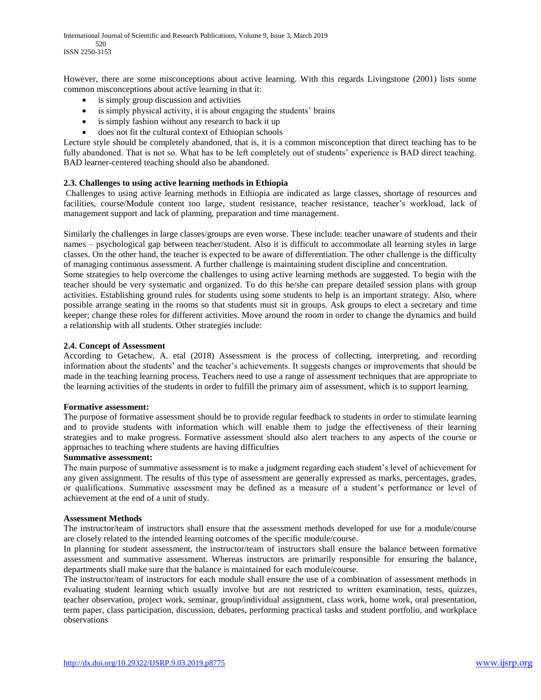International Journal of Scientific and Research Publications, Volume 9, Issue 3, March 2019 520 ISSN 2250-3153

However, there are some misconceptions about active learning. With this regards Livingstone (2001) lists some common misconceptions about active learning in that it:

- is simply group discussion and activities
- is simply physical activity, it is about engaging the students' brains
- is simply fashion without any research to back it up
- does not fit the cultural context of Ethiopian schools

Lecture style should be completely abandoned, that is, it is a common misconception that direct teaching has to be fully abandoned. That is not so. What has to be left completely out of students' experience is BAD direct teaching. BAD learner-centered teaching should also be abandoned.

### **2.3. Challenges to using active learning methods in Ethiopia**

Challenges to using active learning methods in Ethiopia are indicated as large classes, shortage of resources and facilities, course/Module content too large, student resistance, teacher resistance, teacher"s workload, lack of management support and lack of planning, preparation and time management.

Similarly the challenges in large classes/groups are even worse. These include: teacher unaware of students and their names – psychological gap between teacher/student. Also it is difficult to accommodate all learning styles in large classes. On the other hand, the teacher is expected to be aware of differentiation. The other challenge is the difficulty of managing continuous assessment. A further challenge is maintaining student discipline and concentration.

Some strategies to help overcome the challenges to using active learning methods are suggested. To begin with the teacher should be very systematic and organized. To do this he/she can prepare detailed session plans with group activities. Establishing ground rules for students using some students to help is an important strategy. Also, where possible arrange seating in the rooms so that students must sit in groups. Ask groups to elect a secretary and time keeper; change these roles for different activities. Move around the room in order to change the dynamics and build a relationship with all students. Other strategies include:

## **2.4. Concept of Assessment**

According to Getachew, A. etal (2018) Assessment is the process of collecting, interpreting, and recording information about the students" and the teacher"s achievements. It suggests changes or improvements that should be made in the teaching learning process. Teachers need to use a range of assessment techniques that are appropriate to the learning activities of the students in order to fulfill the primary aim of assessment, which is to support learning.

#### **Formative assessment:**

The purpose of formative assessment should be to provide regular feedback to students in order to stimulate learning and to provide students with information which will enable them to judge the effectiveness of their learning strategies and to make progress. Formative assessment should also alert teachers to any aspects of the course or approaches to teaching where students are having difficulties

#### **Summative assessment:**

The main purpose of summative assessment is to make a judgment regarding each student's level of achievement for any given assignment. The results of this type of assessment are generally expressed as marks, percentages, grades, or qualifications. Summative assessment may be defined as a measure of a student"s performance or level of achievement at the end of a unit of study.

#### **Assessment Methods**

The instructor/team of instructors shall ensure that the assessment methods developed for use for a module/course are closely related to the intended learning outcomes of the specific module/course.

In planning for student assessment, the instructor/team of instructors shall ensure the balance between formative assessment and summative assessment. Whereas instructors are primarily responsible for ensuring the balance, departments shall make sure that the balance is maintained for each module/course.

The instructor/team of instructors for each module shall ensure the use of a combination of assessment methods in evaluating student learning which usually involve but are not restricted to written examination, tests, quizzes, teacher observation, project work, seminar, group/individual assignment, class work, home work, oral presentation, term paper, class participation, discussion, debates, performing practical tasks and student portfolio, and workplace observations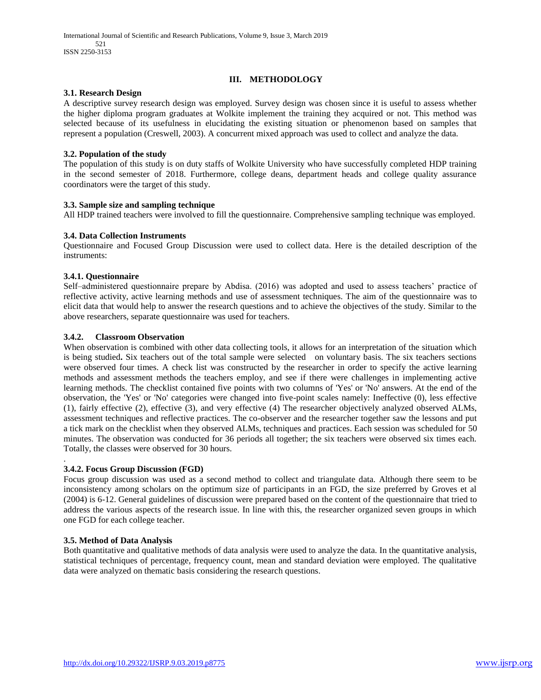## **III. METHODOLOGY**

#### **3.1. Research Design**

A descriptive survey research design was employed. Survey design was chosen since it is useful to assess whether the higher diploma program graduates at Wolkite implement the training they acquired or not. This method was selected because of its usefulness in elucidating the existing situation or phenomenon based on samples that represent a population (Creswell, 2003). A concurrent mixed approach was used to collect and analyze the data.

### **3.2. Population of the study**

The population of this study is on duty staffs of Wolkite University who have successfully completed HDP training in the second semester of 2018. Furthermore, college deans, department heads and college quality assurance coordinators were the target of this study.

### **3.3. Sample size and sampling technique**

All HDP trained teachers were involved to fill the questionnaire. Comprehensive sampling technique was employed.

### **3.4. Data Collection Instruments**

Questionnaire and Focused Group Discussion were used to collect data. Here is the detailed description of the instruments:

### **3.4.1. Questionnaire**

Self–administered questionnaire prepare by Abdisa. (2016) was adopted and used to assess teachers" practice of reflective activity, active learning methods and use of assessment techniques. The aim of the questionnaire was to elicit data that would help to answer the research questions and to achieve the objectives of the study. Similar to the above researchers, separate questionnaire was used for teachers.

### **3.4.2. Classroom Observation**

When observation is combined with other data collecting tools, it allows for an interpretation of the situation which is being studied**.** Six teachers out of the total sample were selected on voluntary basis. The six teachers sections were observed four times. A check list was constructed by the researcher in order to specify the active learning methods and assessment methods the teachers employ, and see if there were challenges in implementing active learning methods. The checklist contained five points with two columns of 'Yes' or 'No' answers. At the end of the observation, the 'Yes' or 'No' categories were changed into five-point scales namely: Ineffective (0), less effective (1), fairly effective (2), effective (3), and very effective (4) The researcher objectively analyzed observed ALMs, assessment techniques and reflective practices. The co-observer and the researcher together saw the lessons and put a tick mark on the checklist when they observed ALMs, techniques and practices. Each session was scheduled for 50 minutes. The observation was conducted for 36 periods all together; the six teachers were observed six times each. Totally, the classes were observed for 30 hours.

#### . **3.4.2. Focus Group Discussion (FGD)**

Focus group discussion was used as a second method to collect and triangulate data. Although there seem to be inconsistency among scholars on the optimum size of participants in an FGD, the size preferred by Groves et al (2004) is 6-12. General guidelines of discussion were prepared based on the content of the questionnaire that tried to address the various aspects of the research issue. In line with this, the researcher organized seven groups in which one FGD for each college teacher.

#### **3.5. Method of Data Analysis**

Both quantitative and qualitative methods of data analysis were used to analyze the data. In the quantitative analysis, statistical techniques of percentage, frequency count, mean and standard deviation were employed. The qualitative data were analyzed on thematic basis considering the research questions.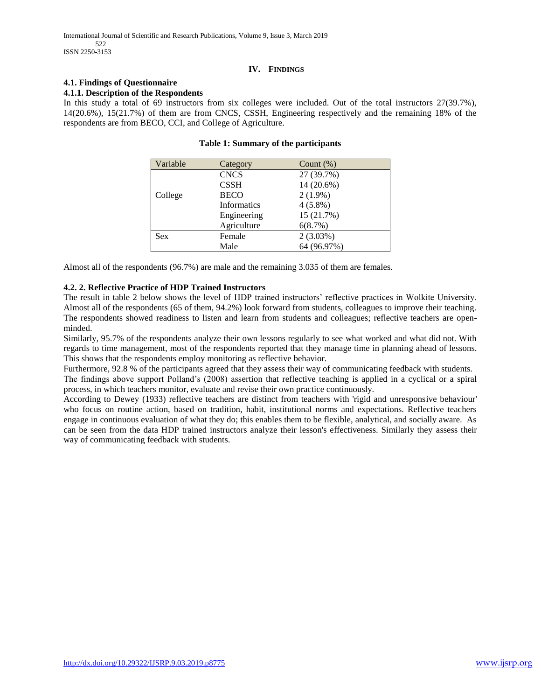## **IV. FINDINGS**

# **4.1. Findings of Questionnaire**

#### **4.1.1. Description of the Respondents**

In this study a total of 69 instructors from six colleges were included. Out of the total instructors  $27(39.7\%)$ , 14(20.6%), 15(21.7%) of them are from CNCS, CSSH, Engineering respectively and the remaining 18% of the respondents are from BECO, CCI, and College of Agriculture.

| Variable   | Category    | Count $(\%)$ |
|------------|-------------|--------------|
|            | <b>CNCS</b> | 27 (39.7%)   |
|            | <b>CSSH</b> | 14 (20.6%)   |
| College    | <b>BECO</b> | $2(1.9\%)$   |
|            | Informatics | $4(5.8\%)$   |
|            | Engineering | 15 (21.7%)   |
|            | Agriculture | 6(8.7%)      |
| <b>Sex</b> | Female      | $2(3.03\%)$  |
|            | Male        | 64 (96.97%)  |

## **Table 1: Summary of the participants**

Almost all of the respondents (96.7%) are male and the remaining 3.035 of them are females.

## **4.2. 2. Reflective Practice of HDP Trained Instructors**

The result in table 2 below shows the level of HDP trained instructors" reflective practices in Wolkite University. Almost all of the respondents (65 of them, 94.2%) look forward from students, colleagues to improve their teaching. The respondents showed readiness to listen and learn from students and colleagues; reflective teachers are openminded.

Similarly, 95.7% of the respondents analyze their own lessons regularly to see what worked and what did not. With regards to time management, most of the respondents reported that they manage time in planning ahead of lessons. This shows that the respondents employ monitoring as reflective behavior.

Furthermore, 92.8 % of the participants agreed that they assess their way of communicating feedback with students. The findings above support Polland"s (2008) assertion that reflective teaching is applied in a cyclical or a spiral process, in which teachers monitor, evaluate and revise their own practice continuously.

According to Dewey (1933) reflective teachers are distinct from teachers with 'rigid and unresponsive behaviour' who focus on routine action, based on tradition, habit, institutional norms and expectations. Reflective teachers engage in continuous evaluation of what they do; this enables them to be flexible, analytical, and socially aware. As can be seen from the data HDP trained instructors analyze their lesson's effectiveness. Similarly they assess their way of communicating feedback with students.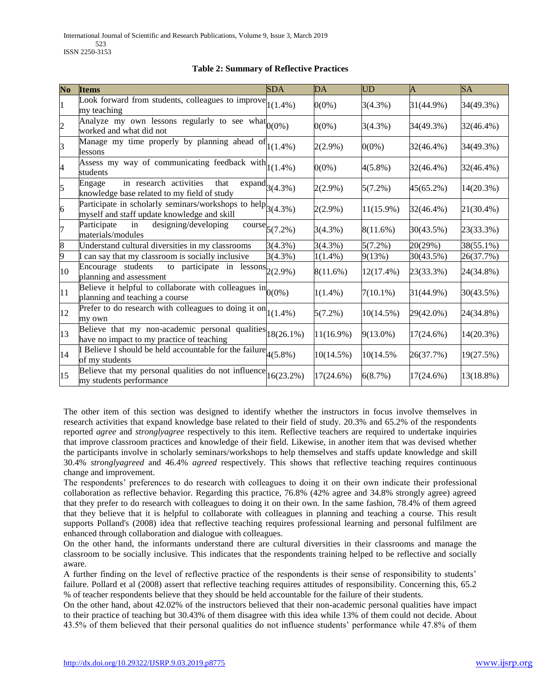|  |  | <b>Table 2: Summary of Reflective Practices</b> |  |
|--|--|-------------------------------------------------|--|
|  |  |                                                 |  |

| No | <b>Items</b>                                                                                                   | <b>SDA</b>                            | DA           | <b>UD</b>    | A            | <b>SA</b> |
|----|----------------------------------------------------------------------------------------------------------------|---------------------------------------|--------------|--------------|--------------|-----------|
| 1  | Look forward from students, colleagues to improve $ _{1(1.4\%)}$<br>my teaching                                |                                       | $0(0\%)$     | 3(4.3%)      | 31(44.9%)    | 34(49.3%) |
| 2  | Analyze my own lessons regularly to see what $0(0\%)$<br>worked and what did not                               |                                       | $0(0\%)$     | $3(4.3\%)$   | 34(49.3%)    | 32(46.4%) |
| 3  | Manage my time properly by planning ahead of $\begin{bmatrix} 1(1.4\%) \end{bmatrix}$<br>lessons               |                                       | $2(2.9\%)$   | $0(0\%)$     | 32(46.4%)    | 34(49.3%) |
| 4  | Assess my way of communicating feedback with $ 1(1.4\%)$<br>students                                           |                                       | $0(0\%)$     | $4(5.8\%)$   | 32(46.4%)    | 32(46.4%) |
| 5  | in research activities<br>that<br>Engage<br>knowledge base related to my field of study                        | $\overline{\text{expand}}_{3(4.3\%)}$ | 2(2.9%)      | $5(7.2\%)$   | 45(65.2%)    | 14(20.3%) |
| 6  | Participate in scholarly seminars/workshops to help $ 3(4.3\%)$<br>myself and staff update knowledge and skill |                                       | $2(2.9\%)$   | 11(15.9%)    | 32(46.4%)    | 21(30.4%) |
| 7  | designing/developing<br>Participate<br>in<br>materials/modules                                                 | $\text{course}_{5(7.2\%)}$            | 3(4.3%)      | $8(11.6\%)$  | 30(43.5%)    | 23(33.3%) |
| 8  | Understand cultural diversities in my classrooms                                                               | 3(4.3%)                               | 3(4.3%)      | $5(7.2\%)$   | 20(29%)      | 38(55.1%) |
| 9  | can say that my classroom is socially inclusive                                                                | 3(4.3%)                               | $1(1.4\%)$   | 9(13%)       | 30(43.5%)    | 26(37.7%) |
| 10 | to participate in lessons $2(2.9\%)$<br>Encourage students<br>planning and assessment                          |                                       | $8(11.6\%)$  | 12(17.4%)    | 23(33.3%)    | 24(34.8%) |
| 11 | Believe it helpful to collaborate with colleagues $\text{in}_{0(0\%)}$<br>planning and teaching a course       |                                       | $1(1.4\%)$   | $7(10.1\%)$  | 31(44.9%)    | 30(43.5%) |
| 12 | Prefer to do research with colleagues to doing it on $ 1(1.4\%)$<br>my own                                     |                                       | $5(7.2\%)$   | $10(14.5\%)$ | 29(42.0%)    | 24(34.8%) |
| 13 | Believe that my non-academic personal qualities $ 18(26.1\%)$<br>have no impact to my practice of teaching     |                                       | $11(16.9\%)$ | $9(13.0\%)$  | $17(24.6\%)$ | 14(20.3%) |
| 14 | If Believe I should be held accountable for the failure $\mu$ (5.8%)<br>of my students                         |                                       | 10(14.5%)    | 10(14.5%)    | 26(37.7%)    | 19(27.5%) |
| 15 | Believe that my personal qualities do not influence $16(23.2\%)$<br>my students performance                    |                                       | $17(24.6\%)$ | 6(8.7%)      | $17(24.6\%)$ | 13(18.8%) |

The other item of this section was designed to identify whether the instructors in focus involve themselves in research activities that expand knowledge base related to their field of study. 20.3% and 65.2% of the respondents reported *agree* and *stronglyagree* respectively to this item. Reflective teachers are required to undertake inquiries that improve classroom practices and knowledge of their field. Likewise, in another item that was devised whether the participants involve in scholarly seminars/workshops to help themselves and staffs update knowledge and skill 30.4% *stronglyagreed* and 46.4% *agreed* respectively. This shows that reflective teaching requires continuous change and improvement.

The respondents' preferences to do research with colleagues to doing it on their own indicate their professional collaboration as reflective behavior. Regarding this practice, 76.8% (42% agree and 34.8% strongly agree) agreed that they prefer to do research with colleagues to doing it on their own. In the same fashion, 78.4% of them agreed that they believe that it is helpful to collaborate with colleagues in planning and teaching a course. This result supports Polland's (2008) idea that reflective teaching requires professional learning and personal fulfilment are enhanced through collaboration and dialogue with colleagues.

On the other hand, the informants understand there are cultural diversities in their classrooms and manage the classroom to be socially inclusive. This indicates that the respondents training helped to be reflective and socially aware.

A further finding on the level of reflective practice of the respondents is their sense of responsibility to students" failure. Pollard et al (2008) assert that reflective teaching requires attitudes of responsibility. Concerning this, 65.2 % of teacher respondents believe that they should be held accountable for the failure of their students.

On the other hand, about 42.02% of the instructors believed that their non-academic personal qualities have impact to their practice of teaching but 30.43% of them disagree with this idea while 13% of them could not decide. About 43.5% of them believed that their personal qualities do not influence students" performance while 47.8% of them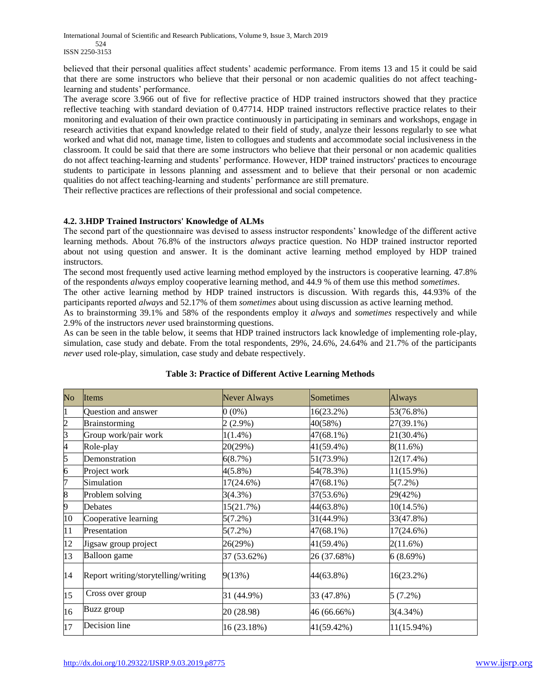International Journal of Scientific and Research Publications, Volume 9, Issue 3, March 2019 524 ISSN 2250-3153

believed that their personal qualities affect students" academic performance. From items 13 and 15 it could be said that there are some instructors who believe that their personal or non academic qualities do not affect teachinglearning and students' performance.

The average score 3.966 out of five for reflective practice of HDP trained instructors showed that they practice reflective teaching with standard deviation of 0.47714. HDP trained instructors reflective practice relates to their monitoring and evaluation of their own practice continuously in participating in seminars and workshops, engage in research activities that expand knowledge related to their field of study, analyze their lessons regularly to see what worked and what did not, manage time, listen to collogues and students and accommodate social inclusiveness in the classroom. It could be said that there are some instructors who believe that their personal or non academic qualities do not affect teaching-learning and students' performance. However, HDP trained instructors' practices to encourage students to participate in lessons planning and assessment and to believe that their personal or non academic qualities do not affect teaching-learning and students" performance are still premature.

Their reflective practices are reflections of their professional and social competence.

## **4.2. 3.HDP Trained Instructors' Knowledge of ALMs**

The second part of the questionnaire was devised to assess instructor respondents" knowledge of the different active learning methods. About 76.8% of the instructors *always* practice question. No HDP trained instructor reported about not using question and answer. It is the dominant active learning method employed by HDP trained instructors.

The second most frequently used active learning method employed by the instructors is cooperative learning. 47.8% of the respondents *always* employ cooperative learning method, and 44.9 % of them use this method *sometimes*.

The other active learning method by HDP trained instructors is discussion. With regards this, 44.93% of the participants reported *always* and 52.17% of them *sometimes* about using discussion as active learning method.

As to brainstorming 39.1% and 58% of the respondents employ it *always* and *sometimes* respectively and while 2.9% of the instructors *never* used brainstorming questions.

As can be seen in the table below, it seems that HDP trained instructors lack knowledge of implementing role-play, simulation, case study and debate. From the total respondents, 29%, 24.6%, 24.64% and 21.7% of the participants *never* used role-play, simulation, case study and debate respectively.

| $\overline{\text{No}}$ | Items                               | Never Always | Sometimes   | Always       |
|------------------------|-------------------------------------|--------------|-------------|--------------|
|                        | Question and answer                 | $0(0\%)$     | 16(23.2%)   | 53(76.8%)    |
|                        | Brainstorming                       | $2(2.9\%)$   | 40(58%)     | 27(39.1%)    |
| 3                      | Group work/pair work                | $1(1.4\%)$   | 47(68.1%)   | 21(30.4%)    |
| 4                      | Role-play                           | 20(29%)      | 41(59.4%)   | 8(11.6%)     |
| 5                      | Demonstration                       | 6(8.7%)      | 51(73.9%)   | 12(17.4%)    |
| 6                      | Project work                        | $4(5.8\%)$   | 54(78.3%)   | $11(15.9\%)$ |
| 7                      | Simulation                          | $17(24.6\%)$ | 47(68.1%)   | $5(7.2\%)$   |
| 8                      | Problem solving                     | 3(4.3%)      | 37(53.6%)   | 29(42%)      |
| 9                      | Debates                             | 15(21.7%)    | 44(63.8%)   | $10(14.5\%)$ |
| 10                     | Cooperative learning                | $5(7.2\%)$   | 31(44.9%)   | 33(47.8%)    |
| 11                     | Presentation                        | $5(7.2\%)$   | 47(68.1%)   | 17(24.6%)    |
| 12                     | Jigsaw group project                | 26(29%)      | 41(59.4%)   | 2(11.6%)     |
| 13                     | Balloon game                        | 37 (53.62%)  | 26 (37.68%) | 6(8.69%)     |
| 14                     | Report writing/storytelling/writing | 9(13%)       | 44(63.8%)   | 16(23.2%)    |
| 15                     | Cross over group                    | 31 (44.9%)   | 33 (47.8%)  | $5(7.2\%)$   |
| 16                     | Buzz group                          | 20 (28.98)   | 46 (66.66%) | 3(4.34%)     |
| 17                     | Decision line                       | 16 (23.18%)  | 41(59.42%)  | 11(15.94%)   |

## **Table 3: Practice of Different Active Learning Methods**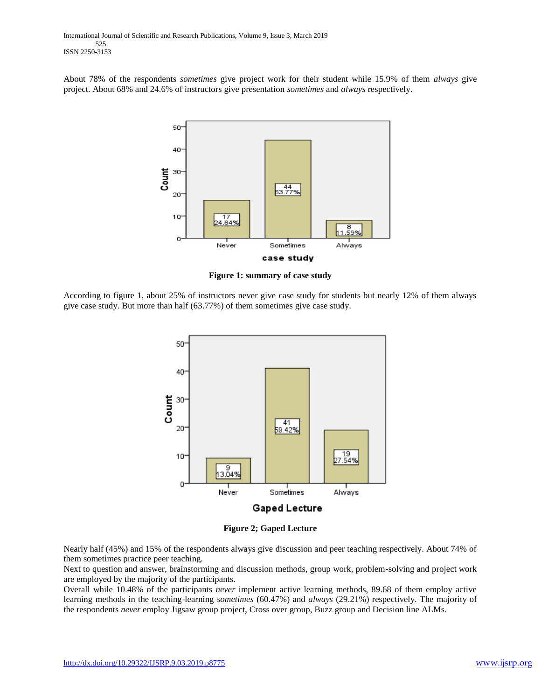About 78% of the respondents *sometimes* give project work for their student while 15.9% of them *always* give project. About 68% and 24.6% of instructors give presentation *sometimes* and *always* respectively.



**Figure 1: summary of case study**

According to figure 1, about 25% of instructors never give case study for students but nearly 12% of them always give case study. But more than half (63.77%) of them sometimes give case study.



**Figure 2; Gaped Lecture**

Nearly half (45%) and 15% of the respondents always give discussion and peer teaching respectively. About 74% of them sometimes practice peer teaching.

Next to question and answer, brainstorming and discussion methods, group work, problem-solving and project work are employed by the majority of the participants.

Overall while 10.48% of the participants *never* implement active learning methods, 89.68 of them employ active learning methods in the teaching-learning *sometimes* (60.47%) and *always* (29.21%) respectively. The majority of the respondents *never* employ Jigsaw group project, Cross over group, Buzz group and Decision line ALMs.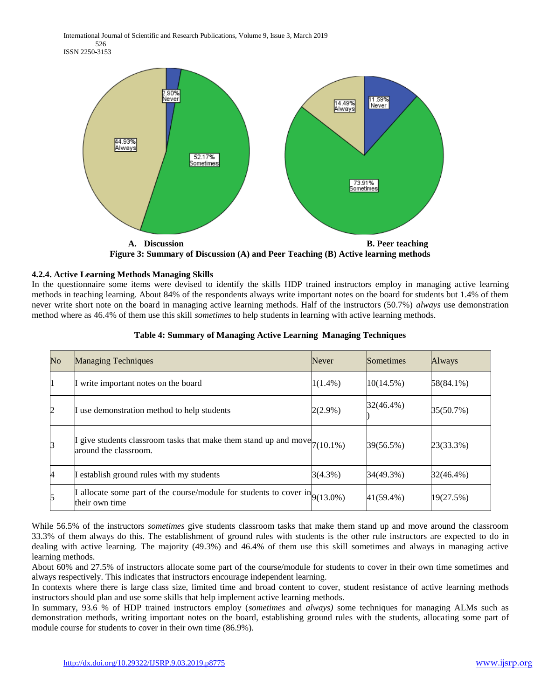International Journal of Scientific and Research Publications, Volume 9, Issue 3, March 2019 526 ISSN 2250-3153



**Figure 3: Summary of Discussion (A) and Peer Teaching (B) Active learning methods**

## **4.2.4. Active Learning Methods Managing Skills**

In the questionnaire some items were devised to identify the skills HDP trained instructors employ in managing active learning methods in teaching learning. About 84% of the respondents always write important notes on the board for students but 1.4% of them never write short note on the board in managing active learning methods. Half of the instructors (50.7%) *always* use demonstration method where as 46.4% of them use this skill *sometimes* to help students in learning with active learning methods.

| $\rm No$       | <b>Managing Techniques</b>                                                                                  | <b>Never</b> | Sometimes    | <b>Always</b> |
|----------------|-------------------------------------------------------------------------------------------------------------|--------------|--------------|---------------|
|                | write important notes on the board                                                                          | $1(1.4\%)$   | $10(14.5\%)$ | 58(84.1%)     |
| $\overline{2}$ | use demonstration method to help students                                                                   | $2(2.9\%)$   | 32(46.4%)    | 35(50.7%)     |
| 3              | give students classroom tasks that make them stand up and move $\vert_{7(10.1\%)}$<br>around the classroom. |              | 39(56.5%)    | 23(33.3%)     |
| $\overline{A}$ | establish ground rules with my students                                                                     | 3(4.3%)      | 34(49.3%)    | 32(46.4%)     |
| 5              | allocate some part of the course/module for students to cover $\text{in}_{9(13.0\%)}$<br>their own time     |              | 41(59.4%)    | 19(27.5%)     |

#### **Table 4: Summary of Managing Active Learning Managing Techniques**

While 56.5% of the instructors *sometimes* give students classroom tasks that make them stand up and move around the classroom 33.3% of them always do this. The establishment of ground rules with students is the other rule instructors are expected to do in dealing with active learning. The majority (49.3%) and 46.4% of them use this skill sometimes and always in managing active learning methods.

About 60% and 27.5% of instructors allocate some part of the course/module for students to cover in their own time sometimes and always respectively. This indicates that instructors encourage independent learning.

In contexts where there is large class size, limited time and broad content to cover, student resistance of active learning methods instructors should plan and use some skills that help implement active learning methods.

In summary, 93.6 % of HDP trained instructors employ (*sometimes* and *always)* some techniques for managing ALMs such as demonstration methods, writing important notes on the board, establishing ground rules with the students, allocating some part of module course for students to cover in their own time (86.9%).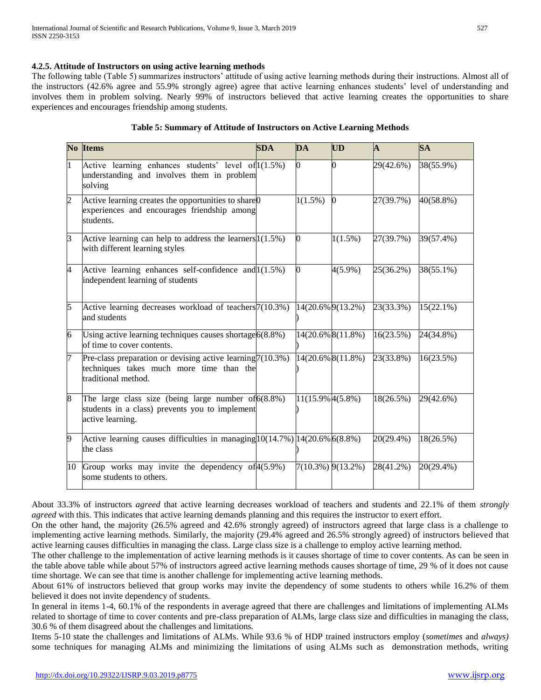## **4.2.5. Attitude of Instructors on using active learning methods**

The following table (Table 5) summarizes instructors" attitude of using active learning methods during their instructions. Almost all of the instructors (42.6% agree and 55.9% strongly agree) agree that active learning enhances students" level of understanding and involves them in problem solving. Nearly 99% of instructors believed that active learning creates the opportunities to share experiences and encourages friendship among students.

|                | No Items                                                                                                                         | <b>SDA</b> | DA               | <b>UD</b>         | $\mathbf{A}$ | <b>SA</b>    |
|----------------|----------------------------------------------------------------------------------------------------------------------------------|------------|------------------|-------------------|--------------|--------------|
| $\mathbf{1}$   | Active learning enhances students' level of $1(1.5\%)$<br>understanding and involves them in problem<br>solving                  |            | O.               | 0                 | 29(42.6%)    | 38(55.9%)    |
| $\overline{c}$ | Active learning creates the opportunities to share <sup>0</sup><br>experiences and encourages friendship among<br>students.      |            | $1(1.5\%)$       | $\Omega$          | 27(39.7%)    | 40(58.8%)    |
| $\overline{3}$ | Active learning can help to address the learners $1(1.5\%)$<br>with different learning styles                                    |            | O.               | $1(1.5\%)$        | 27(39.7%)    | 39(57.4%)    |
| 4              | Active learning enhances self-confidence and 1(1.5%)<br>independent learning of students                                         |            | $\Omega$         | $4(5.9\%)$        | 25(36.2%)    | 38(55.1%)    |
| 5              | Active learning decreases workload of teachers <sup>7</sup> (10.3%)<br>and students                                              |            |                  | 14(20.6% 9(13.2%) | 23(33.3%)    | $15(22.1\%)$ |
| 6              | Using active learning techniques causes shortage $6(8.8\%)$<br>of time to cover contents.                                        |            |                  | 14(20.6% 8(11.8%) | 16(23.5%)    | 24(34.8%)    |
| 7              | Pre-class preparation or devising active learning $7(10.3\%)$<br>techniques takes much more time than the<br>traditional method. |            |                  | 14(20.6% 8(11.8%) | 23(33.8%)    | 16(23.5%)    |
| 8              | The large class size (being large number of $6(8.8\%)$<br>students in a class) prevents you to implement<br>active learning.     |            | 11(15.9% 4(5.8%) |                   | 18(26.5%)    | 29(42.6%)    |
| 9              | Active learning causes difficulties in managing $ 10(14.7\%) 14(20.6\% 6(8.8\%)$<br>the class                                    |            |                  |                   | 20(29.4%)    | 18(26.5%)    |
| 10             | Group works may invite the dependency of $4(5.9\%)$<br>some students to others.                                                  |            |                  | 7(10.3%) 9(13.2%) | 28(41.2%)    | 20(29.4%)    |

| Table 5: Summary of Attitude of Instructors on Active Learning Methods |  |
|------------------------------------------------------------------------|--|
|------------------------------------------------------------------------|--|

About 33.3% of instructors *agreed* that active learning decreases workload of teachers and students and 22.1% of them *strongly agreed* with this. This indicates that active learning demands planning and this requires the instructor to exert effort.

On the other hand, the majority (26.5% agreed and 42.6% strongly agreed) of instructors agreed that large class is a challenge to implementing active learning methods. Similarly, the majority (29.4% agreed and 26.5% strongly agreed) of instructors believed that active learning causes difficulties in managing the class. Large class size is a challenge to employ active learning method.

The other challenge to the implementation of active learning methods is it causes shortage of time to cover contents. As can be seen in the table above table while about 57% of instructors agreed active learning methods causes shortage of time, 29 % of it does not cause time shortage. We can see that time is another challenge for implementing active learning methods.

About 61% of instructors believed that group works may invite the dependency of some students to others while 16.2% of them believed it does not invite dependency of students.

In general in items 1-4, 60.1% of the respondents in average agreed that there are challenges and limitations of implementing ALMs related to shortage of time to cover contents and pre-class preparation of ALMs, large class size and difficulties in managing the class, 30.6 % of them disagreed about the challenges and limitations.

Items 5-10 state the challenges and limitations of ALMs. While 93.6 % of HDP trained instructors employ (*sometimes* and *always)* some techniques for managing ALMs and minimizing the limitations of using ALMs such as demonstration methods, writing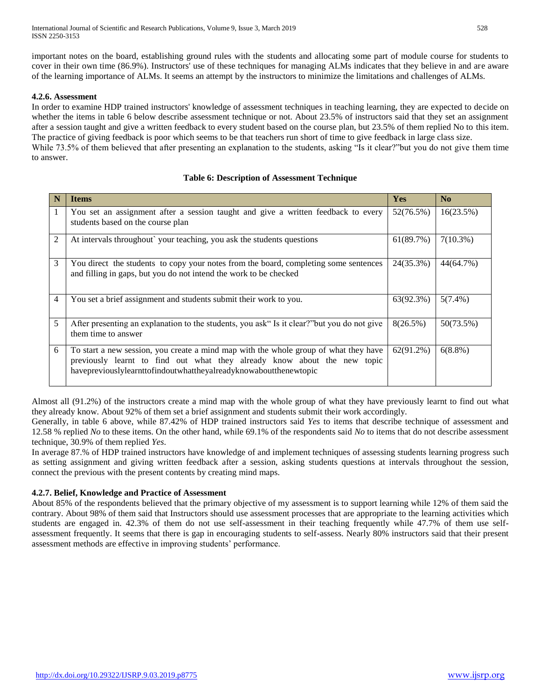important notes on the board, establishing ground rules with the students and allocating some part of module course for students to cover in their own time (86.9%). Instructors' use of these techniques for managing ALMs indicates that they believe in and are aware of the learning importance of ALMs. It seems an attempt by the instructors to minimize the limitations and challenges of ALMs.

## **4.2.6. Assessment**

In order to examine HDP trained instructors' knowledge of assessment techniques in teaching learning, they are expected to decide on whether the items in table 6 below describe assessment technique or not. About 23.5% of instructors said that they set an assignment after a session taught and give a written feedback to every student based on the course plan, but 23.5% of them replied No to this item. The practice of giving feedback is poor which seems to be that teachers run short of time to give feedback in large class size. While 73.5% of them believed that after presenting an explanation to the students, asking "Is it clear?"but you do not give them time to answer.

# **N o Items Yes No** 1 You set an assignment after a session taught and give a written feedback to every students based on the course plan  $52(76.5%)$  | 16(23.5%) 2 At intervals throughout` your teaching, you ask the students questions 61(89.7%) 7(10.3%) 3 You direct the students to copy your notes from the board, completing some sentences and filling in gaps, but you do not intend the work to be checked  $24(35.3\%)$  44(64.7%) 4 You set a brief assignment and students submit their work to you. 63(92.3%) 5(7.4%) 5 After presenting an explanation to the students, you ask" Is it clear?"but you do not give them time to answer  $8(26.5\%)$  50(73.5%) 6 To start a new session, you create a mind map with the whole group of what they have previously learnt to find out what they already know about the new topic havepreviouslylearnttofindoutwhattheyalreadyknowaboutthenewtopic  $62(91.2\%)$  6(8.8%)

## **Table 6: Description of Assessment Technique**

Almost all (91.2%) of the instructors create a mind map with the whole group of what they have previously learnt to find out what they already know. About 92% of them set a brief assignment and students submit their work accordingly.

Generally, in table 6 above, while 87.42% of HDP trained instructors said *Yes* to items that describe technique of assessment and 12.58 % replied *No* to these items. On the other hand, while 69.1% of the respondents said *No* to items that do not describe assessment technique, 30.9% of them replied *Yes*.

In average 87.% of HDP trained instructors have knowledge of and implement techniques of assessing students learning progress such as setting assignment and giving written feedback after a session, asking students questions at intervals throughout the session, connect the previous with the present contents by creating mind maps.

## **4.2.7. Belief, Knowledge and Practice of Assessment**

About 85% of the respondents believed that the primary objective of my assessment is to support learning while 12% of them said the contrary. About 98% of them said that Instructors should use assessment processes that are appropriate to the learning activities which students are engaged in. 42.3% of them do not use self-assessment in their teaching frequently while 47.7% of them use selfassessment frequently. It seems that there is gap in encouraging students to self-assess. Nearly 80% instructors said that their present assessment methods are effective in improving students' performance.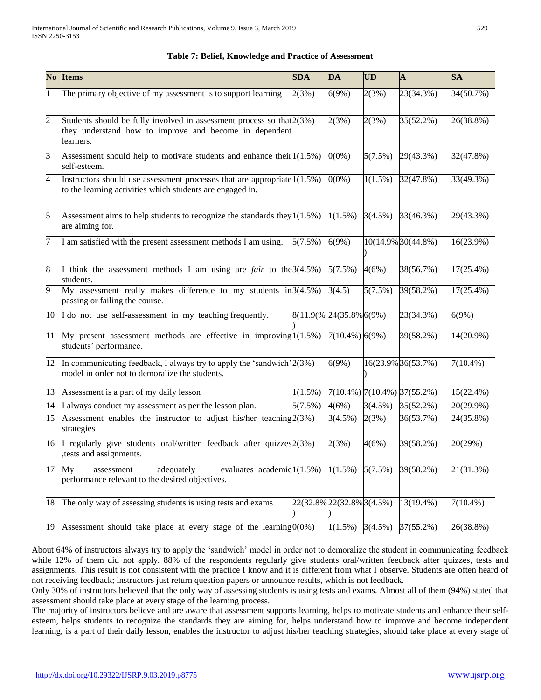|                    | No Items                                                                                                                                     | <b>SDA</b> | DA                        | <b>UD</b>  | $\mathbf{A}$                      | <b>SA</b>    |
|--------------------|----------------------------------------------------------------------------------------------------------------------------------------------|------------|---------------------------|------------|-----------------------------------|--------------|
| $\mathbf{1}$       | The primary objective of my assessment is to support learning                                                                                | 2(3%)      | 6(9%)                     | 2(3%)      | 23(34.3%)                         | 34(50.7%)    |
| $\overline{2}$     | Students should be fully involved in assessment process so that 2(3%)<br>they understand how to improve and become in dependent<br>learners. |            | 2(3%)                     | 2(3%)      | 35(52.2%)                         | 26(38.8%)    |
| 3                  | Assessment should help to motivate students and enhance their $1(1.5\%)$<br>self-esteem.                                                     |            | $0(0\%)$                  | 5(7.5%)    | 29(43.3%)                         | 32(47.8%)    |
| 4                  | Instructors should use assessment processes that are appropriate $1(1.5\%)$<br>to the learning activities which students are engaged in.     |            | $0(0\%)$                  | $1(1.5\%)$ | 32(47.8%)                         | 33(49.3%)    |
| 5                  | Assessment aims to help students to recognize the standards they $1(1.5\%)$<br>are aiming for.                                               |            | $1(1.5\%)$                | 3(4.5%)    | 33(46.3%)                         | $29(43.3\%)$ |
| 7                  | I am satisfied with the present assessment methods I am using.                                                                               | 5(7.5%)    | 6(9%)                     |            | 10(14.9% 30(44.8%)                | $16(23.9\%)$ |
| $\overline{\bf 8}$ | I think the assessment methods I am using are <i>fair</i> to the $3(4.5\%)$<br>students.                                                     |            | 5(7.5%)                   | 4(6%)      | 38(56.7%)                         | $17(25.4\%)$ |
| 9                  | My assessment really makes difference to my students in $3(4.5\%)$<br>passing or failing the course.                                         |            | 3(4.5)                    | 5(7.5%)    | 39(58.2%)                         | $17(25.4\%)$ |
| 10                 | I do not use self-assessment in my teaching frequently.                                                                                      |            | 8(11.9(% 24(35.8% 6(9%)   |            | 23(34.3%)                         | 6(9%)        |
| $\overline{11}$    | My present assessment methods are effective in improving $1(1.5\%)$<br>students' performance.                                                |            | $7(10.4\%)$ 6(9%)         |            | 39(58.2%)                         | 14(20.9%)    |
| 12                 | In communicating feedback, I always try to apply the 'sandwich' 2(3%)<br>model in order not to demoralize the students.                      |            | 6(9%)                     |            | 16(23.9% 36(53.7%)                | $7(10.4\%)$  |
| 13                 | Assessment is a part of my daily lesson                                                                                                      | $1(1.5\%)$ |                           |            | $7(10.4\%)$ $7(10.4\%)$ 37(55.2%) | 15(22.4%)    |
| 14                 | I always conduct my assessment as per the lesson plan.                                                                                       | 5(7.5%)    | 4(6%)                     | 3(4.5%)    | 35(52.2%)                         | 20(29.9%)    |
| 15                 | Assessment enables the instructor to adjust his/her teaching $2(3%)$<br>strategies                                                           |            | 3(4.5%)                   | 2(3%)      | 36(53.7%)                         | $24(35.8\%)$ |
| 16                 | regularly give students oral/written feedback after quizzes 2(3%)<br>, tests and assignments.                                                |            | 2(3%)                     | 4(6%)      | 39(58.2%)                         | 20(29%)      |
| $\overline{17}$    | evaluates academic $(1.5\%)$<br>adequately<br>My<br>assessment<br>performance relevant to the desired objectives.                            |            | $1(1.5\%)$                | 5(7.5%)    | 39(58.2%)                         | 21(31.3%)    |
| 18                 | The only way of assessing students is using tests and exams                                                                                  |            | 22(32.8% 22(32.8% 3(4.5%) |            | 13(19.4%)                         | $7(10.4\%)$  |
| 19                 | Assessment should take place at every stage of the learning $0(0\%)$                                                                         |            |                           |            | $1(1.5\%)$ 3(4.5%) 37(55.2%)      | 26(38.8%)    |

# **Table 7: Belief, Knowledge and Practice of Assessment**

About 64% of instructors always try to apply the "sandwich" model in order not to demoralize the student in communicating feedback while 12% of them did not apply. 88% of the respondents regularly give students oral/written feedback after quizzes, tests and assignments. This result is not consistent with the practice I know and it is different from what I observe. Students are often heard of not receiving feedback; instructors just return question papers or announce results, which is not feedback.

Only 30% of instructors believed that the only way of assessing students is using tests and exams. Almost all of them (94%) stated that assessment should take place at every stage of the learning process.

The majority of instructors believe and are aware that assessment supports learning, helps to motivate students and enhance their selfesteem, helps students to recognize the standards they are aiming for, helps understand how to improve and become independent learning, is a part of their daily lesson, enables the instructor to adjust his/her teaching strategies, should take place at every stage of

process of the control of the control of the control of the control of the control of the control of the control of the control of the control of the control of the control of the control of the control of the control of t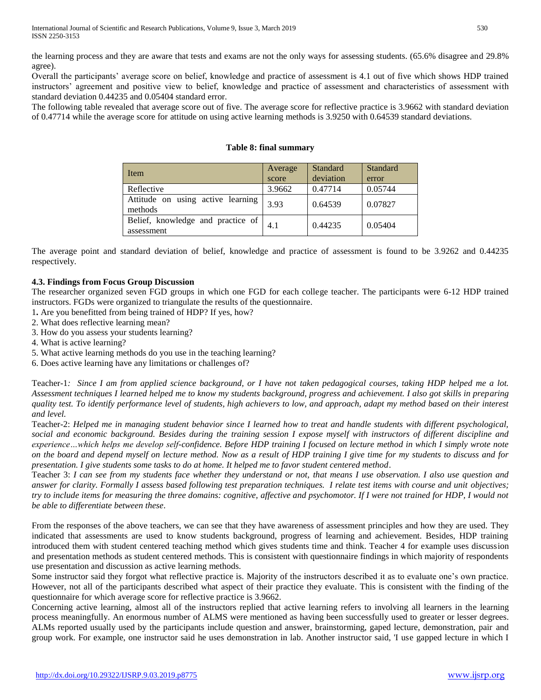the learning process and they are aware that tests and exams are not the only ways for assessing students. (65.6% disagree and 29.8% agree).

Overall the participants" average score on belief, knowledge and practice of assessment is 4.1 out of five which shows HDP trained instructors" agreement and positive view to belief, knowledge and practice of assessment and characteristics of assessment with standard deviation 0.44235 and 0.05404 standard error.

The following table revealed that average score out of five. The average score for reflective practice is 3.9662 with standard deviation of 0.47714 while the average score for attitude on using active learning methods is 3.9250 with 0.64539 standard deviations.

| Item                                            | Average<br>score | <b>Standard</b><br>deviation | Standard<br>error |
|-------------------------------------------------|------------------|------------------------------|-------------------|
| Reflective                                      | 3.9662           | 0.47714                      | 0.05744           |
| Attitude on using active learning<br>methods    | 3.93             | 0.64539                      | 0.07827           |
| Belief, knowledge and practice of<br>assessment | 4.1              | 0.44235                      | 0.05404           |

## **Table 8: final summary**

The average point and standard deviation of belief, knowledge and practice of assessment is found to be 3.9262 and 0.44235 respectively.

## **4.3. Findings from Focus Group Discussion**

The researcher organized seven FGD groups in which one FGD for each college teacher. The participants were 6-12 HDP trained instructors. FGDs were organized to triangulate the results of the questionnaire.

- 1**.** Are you benefitted from being trained of HDP? If yes, how?
- 2. What does reflective learning mean?
- 3. How do you assess your students learning?
- 4. What is active learning?
- 5. What active learning methods do you use in the teaching learning?

6. Does active learning have any limitations or challenges of?

Teacher-1*: Since I am from applied science background, or I have not taken pedagogical courses, taking HDP helped me a lot. Assessment techniques I learned helped me to know my students background, progress and achievement. I also got skills in preparing quality test. To identify performance level of students, high achievers to low, and approach, adapt my method based on their interest and level.*

Teacher-2: *Helped me in managing student behavior since I learned how to treat and handle students with different psychological, social and economic background. Besides during the training session I expose myself with instructors of different discipline and experience…which helps me develop self-confidence. Before HDP training I focused on lecture method in which I simply wrote note on the board and depend myself on lecture method. Now as a result of HDP training I give time for my students to discuss and for presentation. I give students some tasks to do at home. It helped me to favor student centered method*.

Teacher 3: *I can see from my students face whether they understand or not, that means I use observation. I also use question and answer for clarity. Formally I assess based following test preparation techniques. I relate test items with course and unit objectives; try to include items for measuring the three domains: cognitive, affective and psychomotor. If I were not trained for HDP, I would not be able to differentiate between these*.

From the responses of the above teachers, we can see that they have awareness of assessment principles and how they are used. They indicated that assessments are used to know students background, progress of learning and achievement. Besides, HDP training introduced them with student centered teaching method which gives students time and think. Teacher 4 for example uses discussion and presentation methods as student centered methods. This is consistent with questionnaire findings in which majority of respondents use presentation and discussion as active learning methods.

Some instructor said they forgot what reflective practice is. Majority of the instructors described it as to evaluate one"s own practice. However, not all of the participants described what aspect of their practice they evaluate. This is consistent with the finding of the questionnaire for which average score for reflective practice is 3.9662.

Concerning active learning, almost all of the instructors replied that active learning refers to involving all learners in the learning process meaningfully. An enormous number of ALMS were mentioned as having been successfully used to greater or lesser degrees. ALMs reported usually used by the participants include question and answer, brainstorming, gaped lecture, demonstration, pair and group work. For example, one instructor said he uses demonstration in lab. Another instructor said, 'I use gapped lecture in which I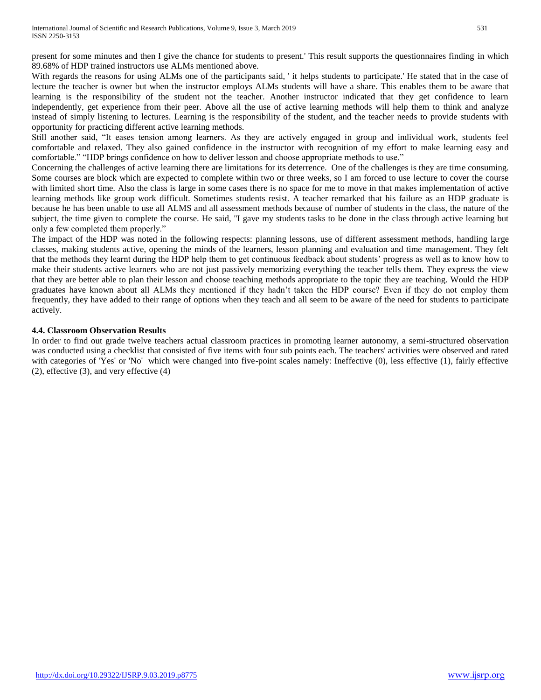present for some minutes and then I give the chance for students to present.' This result supports the questionnaires finding in which 89.68% of HDP trained instructors use ALMs mentioned above.

With regards the reasons for using ALMs one of the participants said, 'it helps students to participate.' He stated that in the case of lecture the teacher is owner but when the instructor employs ALMs students will have a share. This enables them to be aware that learning is the responsibility of the student not the teacher. Another instructor indicated that they get confidence to learn independently, get experience from their peer. Above all the use of active learning methods will help them to think and analyze instead of simply listening to lectures. Learning is the responsibility of the student, and the teacher needs to provide students with opportunity for practicing different active learning methods.

Still another said, "It eases tension among learners. As they are actively engaged in group and individual work, students feel comfortable and relaxed. They also gained confidence in the instructor with recognition of my effort to make learning easy and comfortable." "HDP brings confidence on how to deliver lesson and choose appropriate methods to use."

Concerning the challenges of active learning there are limitations for its deterrence. One of the challenges is they are time consuming. Some courses are block which are expected to complete within two or three weeks, so I am forced to use lecture to cover the course with limited short time. Also the class is large in some cases there is no space for me to move in that makes implementation of active learning methods like group work difficult. Sometimes students resist. A teacher remarked that his failure as an HDP graduate is because he has been unable to use all ALMS and all assessment methods because of number of students in the class, the nature of the subject, the time given to complete the course. He said, ''I gave my students tasks to be done in the class through active learning but only a few completed them properly."

The impact of the HDP was noted in the following respects: planning lessons, use of different assessment methods, handling large classes, making students active, opening the minds of the learners, lesson planning and evaluation and time management. They felt that the methods they learnt during the HDP help them to get continuous feedback about students" progress as well as to know how to make their students active learners who are not just passively memorizing everything the teacher tells them. They express the view that they are better able to plan their lesson and choose teaching methods appropriate to the topic they are teaching. Would the HDP graduates have known about all ALMs they mentioned if they hadn"t taken the HDP course? Even if they do not employ them frequently, they have added to their range of options when they teach and all seem to be aware of the need for students to participate actively.

## **4.4. Classroom Observation Results**

In order to find out grade twelve teachers actual classroom practices in promoting learner autonomy, a semi-structured observation was conducted using a checklist that consisted of five items with four sub points each. The teachers' activities were observed and rated with categories of 'Yes' or 'No' which were changed into five-point scales namely: Ineffective (0), less effective (1), fairly effective (2), effective (3), and very effective (4)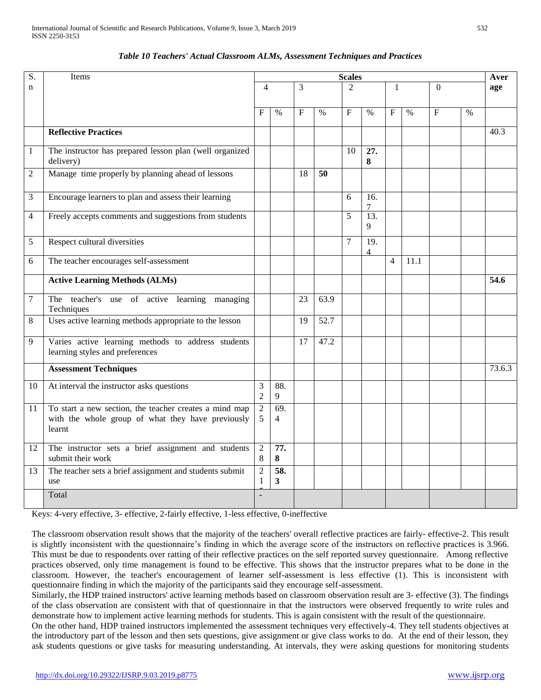| S.           | Items                                                                                                                 | <b>Scales</b>                  |                        |                 |      |                |                        |                |      | Aver     |               |        |
|--------------|-----------------------------------------------------------------------------------------------------------------------|--------------------------------|------------------------|-----------------|------|----------------|------------------------|----------------|------|----------|---------------|--------|
| $\mathbf n$  |                                                                                                                       | 4                              | 3                      |                 |      | $\overline{2}$ |                        | 1              |      | $\Omega$ |               | age    |
|              |                                                                                                                       |                                |                        |                 |      |                |                        |                |      |          |               |        |
|              |                                                                                                                       | $\mathbf{F}$                   | $\frac{0}{0}$          | $\mathbf{F}$    | $\%$ | $\mathbf{F}$   | $\%$                   | $\mathbf{F}$   | $\%$ | $\rm F$  | $\frac{0}{0}$ |        |
|              | <b>Reflective Practices</b>                                                                                           |                                |                        |                 |      |                |                        |                |      |          |               | 40.3   |
| $\mathbf{1}$ | The instructor has prepared lesson plan (well organized<br>delivery)                                                  |                                |                        |                 |      | 10             | 27.<br>8               |                |      |          |               |        |
| 2            | Manage time properly by planning ahead of lessons                                                                     |                                |                        | 18              | 50   |                |                        |                |      |          |               |        |
| 3            | Encourage learners to plan and assess their learning                                                                  |                                |                        |                 |      | 6              | 16.<br>7               |                |      |          |               |        |
| 4            | Freely accepts comments and suggestions from students                                                                 |                                |                        |                 |      | 5              | $\overline{13}$ .<br>9 |                |      |          |               |        |
| 5            | Respect cultural diversities                                                                                          |                                |                        |                 |      | 7              | 19.<br>$\overline{4}$  |                |      |          |               |        |
| 6            | The teacher encourages self-assessment                                                                                |                                |                        |                 |      |                |                        | $\overline{4}$ | 11.1 |          |               |        |
|              | <b>Active Learning Methods (ALMs)</b>                                                                                 |                                |                        |                 |      |                |                        |                |      |          |               | 54.6   |
| 7            | The teacher's use of active learning managing<br>Techniques                                                           |                                |                        | $\overline{23}$ | 63.9 |                |                        |                |      |          |               |        |
| 8            | Uses active learning methods appropriate to the lesson                                                                |                                |                        | 19              | 52.7 |                |                        |                |      |          |               |        |
| 9            | Varies active learning methods to address students<br>learning styles and preferences                                 |                                |                        | 17              | 47.2 |                |                        |                |      |          |               |        |
|              | <b>Assessment Techniques</b>                                                                                          |                                |                        |                 |      |                |                        |                |      |          |               | 73.6.3 |
| 10           | At interval the instructor asks questions                                                                             | 3<br>$\overline{2}$            | $\overline{88}$ .<br>9 |                 |      |                |                        |                |      |          |               |        |
| 11           | To start a new section, the teacher creates a mind map<br>with the whole group of what they have previously<br>learnt | $\overline{2}$<br>5            | 69.<br>$\overline{4}$  |                 |      |                |                        |                |      |          |               |        |
| 12           | The instructor sets a brief assignment and students<br>submit their work                                              | $\overline{2}$<br>8            | 77.<br>8               |                 |      |                |                        |                |      |          |               |        |
| 13           | The teacher sets a brief assignment and students submit<br>use                                                        | $\overline{2}$<br>$\mathbf{1}$ | 58.<br>3               |                 |      |                |                        |                |      |          |               |        |
|              | Total                                                                                                                 |                                |                        |                 |      |                |                        |                |      |          |               |        |

# *Table 10 Teachers' Actual Classroom ALMs, Assessment Techniques and Practices*

. Keys: 4-very effective, 3- effective, 2-fairly effective, 1-less effective, 0-ineffective

The classroom observation result shows that the majority of the teachers' overall reflective practices are fairly- effective-2. This result is slightly inconsistent with the questionnaire's finding in which the average score of the instructors on reflective practices is 3.966. This must be due to respondents over ratting of their reflective practices on the self reported survey questionnaire. Among reflective practices observed, only time management is found to be effective. This shows that the instructor prepares what to be done in the classroom. However, the teacher's encouragement of learner self-assessment is less effective (1). This is inconsistent with questionnaire finding in which the majority of the participants said they encourage self-assessment.

Similarly, the HDP trained instructors' active learning methods based on classroom observation result are 3- effective (3). The findings of the class observation are consistent with that of questionnaire in that the instructors were observed frequently to write rules and demonstrate how to implement active learning methods for students. This is again consistent with the result of the questionnaire.

On the other hand, HDP trained instructors implemented the assessment techniques very effectively-4. They tell students objectives at the introductory part of the lesson and then sets questions, give assignment or give class works to do. At the end of their lesson, they ask students questions or give tasks for measuring understanding. At intervals, they were asking questions for monitoring students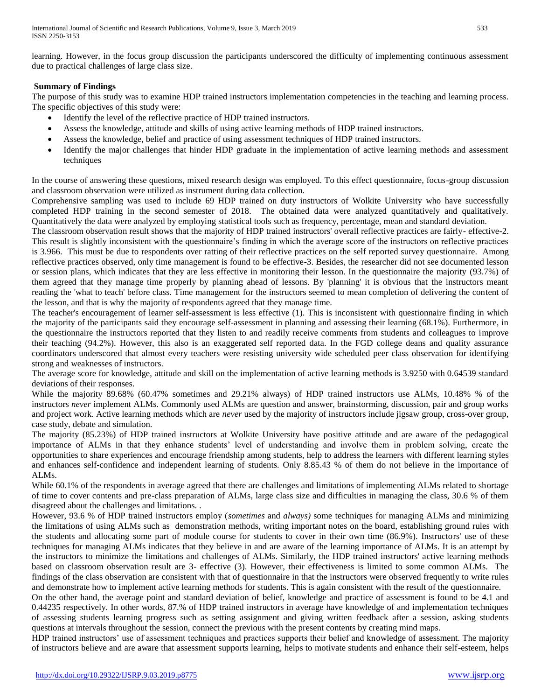learning. However, in the focus group discussion the participants underscored the difficulty of implementing continuous assessment due to practical challenges of large class size.

## **Summary of Findings**

The purpose of this study was to examine HDP trained instructors implementation competencies in the teaching and learning process. The specific objectives of this study were:

- Identify the level of the reflective practice of HDP trained instructors.
- Assess the knowledge, attitude and skills of using active learning methods of HDP trained instructors.
- Assess the knowledge, belief and practice of using assessment techniques of HDP trained instructors.
- Identify the major challenges that hinder HDP graduate in the implementation of active learning methods and assessment techniques

In the course of answering these questions, mixed research design was employed. To this effect questionnaire, focus-group discussion and classroom observation were utilized as instrument during data collection.

Comprehensive sampling was used to include 69 HDP trained on duty instructors of Wolkite University who have successfully completed HDP training in the second semester of 2018. The obtained data were analyzed quantitatively and qualitatively. Quantitatively the data were analyzed by employing statistical tools such as frequency, percentage, mean and standard deviation.

The classroom observation result shows that the majority of HDP trained instructors' overall reflective practices are fairly- effective-2. This result is slightly inconsistent with the questionnaire"s finding in which the average score of the instructors on reflective practices is 3.966. This must be due to respondents over ratting of their reflective practices on the self reported survey questionnaire. Among reflective practices observed, only time management is found to be effective-3. Besides, the researcher did not see documented lesson or session plans, which indicates that they are less effective in monitoring their lesson. In the questionnaire the majority (93.7%) of them agreed that they manage time properly by planning ahead of lessons. By 'planning' it is obvious that the instructors meant reading the 'what to teach' before class. Time management for the instructors seemed to mean completion of delivering the content of the lesson, and that is why the majority of respondents agreed that they manage time.

The teacher's encouragement of learner self-assessment is less effective (1). This is inconsistent with questionnaire finding in which the majority of the participants said they encourage self-assessment in planning and assessing their learning (68.1%). Furthermore, in the questionnaire the instructors reported that they listen to and readily receive comments from students and colleagues to improve their teaching (94.2%). However, this also is an exaggerated self reported data. In the FGD college deans and quality assurance coordinators underscored that almost every teachers were resisting university wide scheduled peer class observation for identifying strong and weaknesses of instructors.

The average score for knowledge, attitude and skill on the implementation of active learning methods is 3.9250 with 0.64539 standard deviations of their responses.

While the majority 89.68% (60.47% sometimes and 29.21% always) of HDP trained instructors use ALMs, 10.48% % of the instructors *never* implement ALMs. Commonly used ALMs are question and answer, brainstorming, discussion, pair and group works and project work. Active learning methods which are *never* used by the majority of instructors include jigsaw group, cross-over group, case study, debate and simulation.

The majority (85.23%) of HDP trained instructors at Wolkite University have positive attitude and are aware of the pedagogical importance of ALMs in that they enhance students" level of understanding and involve them in problem solving, create the opportunities to share experiences and encourage friendship among students, help to address the learners with different learning styles and enhances self-confidence and independent learning of students. Only 8.85.43 % of them do not believe in the importance of ALMs.

While 60.1% of the respondents in average agreed that there are challenges and limitations of implementing ALMs related to shortage of time to cover contents and pre-class preparation of ALMs, large class size and difficulties in managing the class, 30.6 % of them disagreed about the challenges and limitations. .

However, 93.6 % of HDP trained instructors employ (*sometimes* and *always)* some techniques for managing ALMs and minimizing the limitations of using ALMs such as demonstration methods, writing important notes on the board, establishing ground rules with the students and allocating some part of module course for students to cover in their own time (86.9%). Instructors' use of these techniques for managing ALMs indicates that they believe in and are aware of the learning importance of ALMs. It is an attempt by the instructors to minimize the limitations and challenges of ALMs. Similarly, the HDP trained instructors' active learning methods based on classroom observation result are 3- effective (3). However, their effectiveness is limited to some common ALMs. The findings of the class observation are consistent with that of questionnaire in that the instructors were observed frequently to write rules and demonstrate how to implement active learning methods for students. This is again consistent with the result of the questionnaire.

On the other hand, the average point and standard deviation of belief, knowledge and practice of assessment is found to be 4.1 and 0.44235 respectively. In other words, 87.% of HDP trained instructors in average have knowledge of and implementation techniques of assessing students learning progress such as setting assignment and giving written feedback after a session, asking students questions at intervals throughout the session, connect the previous with the present contents by creating mind maps.

HDP trained instructors' use of assessment techniques and practices supports their belief and knowledge of assessment. The majority of instructors believe and are aware that assessment supports learning, helps to motivate students and enhance their self-esteem, helps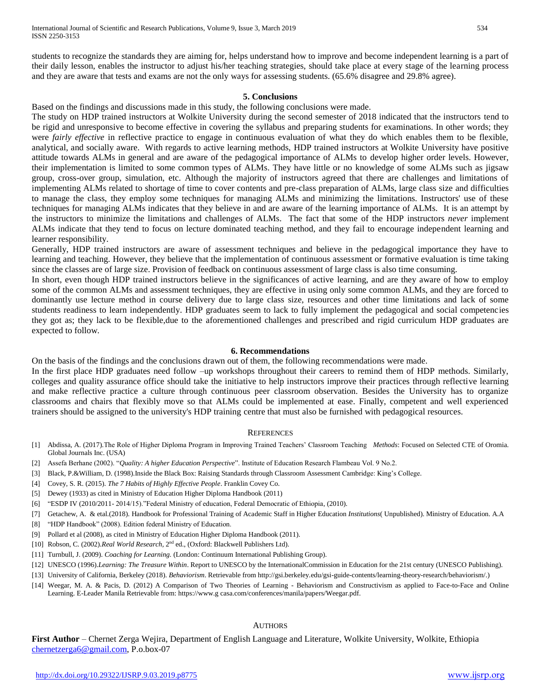students to recognize the standards they are aiming for, helps understand how to improve and become independent learning is a part of their daily lesson, enables the instructor to adjust his/her teaching strategies, should take place at every stage of the learning process and they are aware that tests and exams are not the only ways for assessing students. (65.6% disagree and 29.8% agree).

#### **5. Conclusions**

Based on the findings and discussions made in this study, the following conclusions were made.

The study on HDP trained instructors at Wolkite University during the second semester of 2018 indicated that the instructors tend to be rigid and unresponsive to become effective in covering the syllabus and preparing students for examinations. In other words; they were *fairly effective* in reflective practice to engage in continuous evaluation of what they do which enables them to be flexible, analytical, and socially aware. With regards to active learning methods, HDP trained instructors at Wolkite University have positive attitude towards ALMs in general and are aware of the pedagogical importance of ALMs to develop higher order levels. However, their implementation is limited to some common types of ALMs. They have little or no knowledge of some ALMs such as jigsaw group, cross-over group, simulation, etc. Although the majority of instructors agreed that there are challenges and limitations of implementing ALMs related to shortage of time to cover contents and pre-class preparation of ALMs, large class size and difficulties to manage the class, they employ some techniques for managing ALMs and minimizing the limitations. Instructors' use of these techniques for managing ALMs indicates that they believe in and are aware of the learning importance of ALMs. It is an attempt by the instructors to minimize the limitations and challenges of ALMs. The fact that some of the HDP instructors *never* implement ALMs indicate that they tend to focus on lecture dominated teaching method, and they fail to encourage independent learning and learner responsibility.

Generally, HDP trained instructors are aware of assessment techniques and believe in the pedagogical importance they have to learning and teaching. However, they believe that the implementation of continuous assessment or formative evaluation is time taking since the classes are of large size. Provision of feedback on continuous assessment of large class is also time consuming.

In short, even though HDP trained instructors believe in the significances of active learning, and are they aware of how to employ some of the common ALMs and assessment techniques, they are effective in using only some common ALMs, and they are forced to dominantly use lecture method in course delivery due to large class size, resources and other time limitations and lack of some students readiness to learn independently. HDP graduates seem to lack to fully implement the pedagogical and social competencies they got as; they lack to be flexible,due to the aforementioned challenges and prescribed and rigid curriculum HDP graduates are expected to follow.

#### **6. Recommendations**

On the basis of the findings and the conclusions drawn out of them, the following recommendations were made.

In the first place HDP graduates need follow –up workshops throughout their careers to remind them of HDP methods. Similarly, colleges and quality assurance office should take the initiative to help instructors improve their practices through reflective learning and make reflective practice a culture through continuous peer classroom observation. Besides the University has to organize classrooms and chairs that flexibly move so that ALMs could be implemented at ease. Finally, competent and well experienced trainers should be assigned to the university's HDP training centre that must also be furnished with pedagogical resources.

#### **REFERENCES**

- [1] Abdissa, A. (2017).The Role of Higher Diploma Program in Improving Trained Teachers" Classroom Teaching *Methods*: Focused on Selected CTE of Oromia. Global Journals Inc. (USA)
- [2] Assefa Berhane (2002). "*Quality: A higher Education Perspective*". Institute of Education Research Flambeau Vol. 9 No.2.
- [3] Black, P.&William, D. (1998).Inside the Black Box: Raising Standards through Classroom Assessment Cambridge: King"s College.
- [4] Covey, S. R. (2015). *The 7 Habits of Highly Effective People*. Franklin Covey Co.
- [5] Dewey (1933) as cited in Ministry of Education Higher Diploma Handbook (2011)
- [6] "ESDP IV (2010/2011- 2014/15)."Federal Ministry of education, Federal Democratic of Ethiopia, (2010).
- [7] Getachew, A. & etal.(2018). Handbook for Professional Training of Academic Staff in Higher Education *Institutions*( Unpublished). Ministry of Education. A.A
- [8] "HDP Handbook" (2008). Edition federal Ministry of Education.
- [9] Pollard et al (2008), as cited in Ministry of Education Higher Diploma Handbook (2011).
- [10] Robson, C. (2002).Real World Research, 2<sup>nd</sup> ed., (Oxford: Blackwell Publishers Ltd).
- [11] Turnbull, J. (2009). *Coaching for Learning.* (London: Continuum International Publishing Group).
- [12] UNESCO (1996).*Learning: The Treasure Within*. Report to UNESCO by the InternationalCommission in Education for the 21st century (UNESCO Publishing).
- [13] University of California, Berkeley (2018). *Behaviorism*. Retrievable from http://gsi.berkeley.edu/gsi-guide-contents/learning-theory-research/behaviorism/.)
- [14] Weegar, M. A. & Pacis, D. (2012) A Comparison of Two Theories of Learning Behaviorism and Constructivism as applied to Face-to-Face and Online Learning. E-Leader Manila Retrievable from: https://www.g casa.com/conferences/manila/papers/Weegar.pdf.

#### AUTHORS

**First Author** – Chernet Zerga Wejira, Department of English Language and Literature, Wolkite University, Wolkite, Ethiopia [chernetzerga6@gmail.com,](mailto:chernetzerga6@gmail.com) P.o.box-07